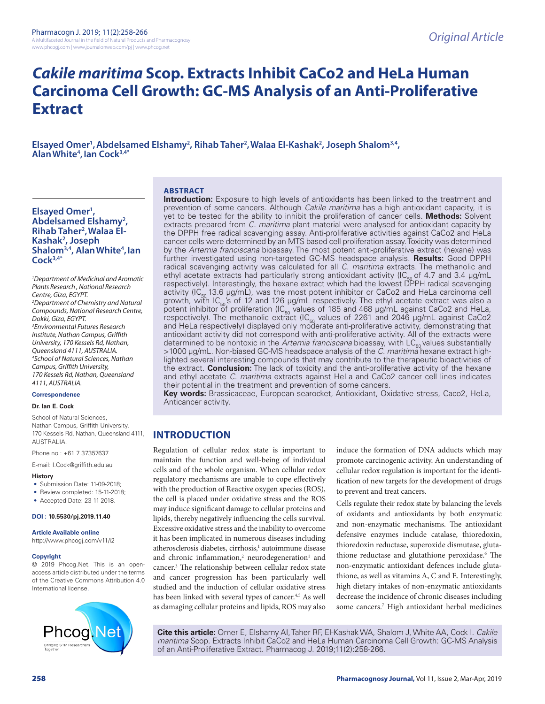# *Cakile maritima* **Scop. Extracts Inhibit CaCo2 and HeLa Human Carcinoma Cell Growth: GC-MS Analysis of an Anti-Proliferative Extract**

Elsayed Omer<sup>1</sup>, Abdelsamed Elshamy<sup>2</sup>, Rihab Taher<sup>2</sup>, Walaa El-Kashak<sup>2</sup>, Joseph Shalom<sup>3,4</sup>,<br>Alan White<sup>4</sup>, Ian Cock<sup>3,4\*</sup> Alan White<sup>4</sup>, Ian Cock<sup>3,4\*</sup>

### **ABSTRACT**

# Elsayed Omer<sup>1</sup>, **Abdelsamed Elshamy2 ,**  Rihab Taher<sup>2</sup>, Walaa El-**Kashak2 , Joseph**  Shalom<sup>3,4</sup>, Alan White<sup>4</sup>, lan **Cock3,4\***

*1 Department of Medicinal and Aromatic Plants Research , National Research Centre, Giza, EGYPT. 2 Department of Chemistry and Natural Compounds, National Research Centre, Dokki, Giza, EGYPT. 3 Environmental Futures Research Institute, Nathan Campus, Griffith University, 170 Kessels Rd, Nathan, Queensland 4111, AUSTRALIA. 4 School of Natural Sciences, Nathan Campus, Griffith University, 170 Kessels Rd, Nathan, Queensland 4111, AUSTRALIA.*

# **Correspondence**

#### **Dr. Ian E. Cock**

School of Natural Sciences, Nathan Campus, Griffith University, 170 Kessels Rd, Nathan, Queensland 4111, AUSTRALIA.

Phone no : +61 7 37357637

E-mail: I.Cock@griffith.edu.au

#### **History**

- Submission Date: 11-09-2018;
- Review completed: 15-11-2018;
- Accepted Date: 23-11-2018.

#### **DOI : 10.5530/pj.2019.11.40**

#### **Article Available online**

http://www.phcogj.com/v11/i2

#### **Copyright**

© 2019 Phcog.Net. This is an openaccess article distributed under the terms of the Creative Commons Attribution 4.0 International license.



**Introduction:** Exposure to high levels of antioxidants has been linked to the treatment and prevention of some cancers. Although *Cakile maritima* has a high antioxidant capacity, it is yet to be tested for the ability to inhibit the proliferation of cancer cells. **Methods:** Solvent extracts prepared from *C. maritima* plant material were analysed for antioxidant capacity by the DPPH free radical scavenging assay. Anti-proliferative activities against CaCo2 and HeLa cancer cells were determined by an MTS based cell proliferation assay. Toxicity was determined by the *Artemia franciscana* bioassay. The most potent anti-proliferative extract (hexane) was further investigated using non-targeted GC-MS headspace analysis. **Results:** Good DPPH radical scavenging activity was calculated for all *C. maritima* extracts. The methanolic and ethyl acetate extracts had particularly strong antioxidant activity (IC<sub>50</sub> of 4.7 and 3.4 µg/mL<br>respectively). Interestingly, the hexane extract which had the lowest DPPH radical scavenging activity ( $IC_{50}$  13.6 µg/mL), was the most potent inhibitor or CaCo2 and HeLa carcinoma cell growth, with  $IC_{50}$ 's of 12 and 126 µg/mL respectively. The ethyl acetate extract was also a potent inhibitor of proliferation (IC<sub>50</sub> values of 185 and 468  $\mu$ g/mL against CaCo2 and HeLa, respectively). The methanolic extract (IC<sub>50</sub> values of 2261 and 2046  $\mu$ g/mL against CaCo2 and HeLa respectively) displayed only moderate anti-proliferative activity, demonstrating that antioxidant activity did not correspond with anti-proliferative activity. All of the extracts were determined to be nontoxic in the *Artemia franciscana* bioassay, with LC<sub>50</sub> values substantially >1000 µg/mL. Non-biased GC-MS headspace analysis of the *C. maritima* hexane extract highlighted several interesting compounds that may contribute to the therapeutic bioactivities of the extract. **Conclusion:** The lack of toxicity and the anti-proliferative activity of the hexane and ethyl acetate *C. maritima* extracts against HeLa and CaCo2 cancer cell lines indicates their potential in the treatment and prevention of some cancers.

**Key words:** Brassicaceae, European searocket, Antioxidant, Oxidative stress, Caco2, HeLa, Anticancer activity.

# **INTRODUCTION**

Regulation of cellular redox state is important to maintain the function and well-being of individual cells and of the whole organism. When cellular redox regulatory mechanisms are unable to cope effectively with the production of Reactive oxygen species (ROS), the cell is placed under oxidative stress and the ROS may induce significant damage to cellular proteins and lipids, thereby negatively influencing the cells survival. Excessive oxidative stress and the inability to overcome it has been implicated in numerous diseases including atherosclerosis diabetes, cirrhosis,<sup>1</sup> autoimmune disease and chronic inflammation,<sup>2</sup> neurodegeneration<sup>1</sup> and cancer.3 The relationship between cellular redox state and cancer progression has been particularly well studied and the induction of cellular oxidative stress has been linked with several types of cancer.<sup>4,5</sup> As well as damaging cellular proteins and lipids, ROS may also

induce the formation of DNA adducts which may promote carcinogenic activity. An understanding of cellular redox regulation is important for the identification of new targets for the development of drugs to prevent and treat cancers.

Cells regulate their redox state by balancing the levels of oxidants and antioxidants by both enzymatic and non-enzymatic mechanisms. The antioxidant defensive enzymes include catalase, thioredoxin, thioredoxin reductase, superoxide dismutase, glutathione reductase and glutathione peroxidase.6 The non-enzymatic antioxidant defences include glutathione, as well as vitamins A, C and E. Interestingly, high dietary intakes of non-enzymatic antioxidants decrease the incidence of chronic diseases including some cancers.7 High antioxidant herbal medicines

**Cite this article:** Omer E, Elshamy AI, Taher RF, El-Kashak WA, Shalom J, White AA, Cock I. *Cakile maritima* Scop. Extracts Inhibit CaCo2 and HeLa Human Carcinoma Cell Growth: GC-MS Analysis of an Anti-Proliferative Extract. Pharmacog J. 2019;11(2):258-266.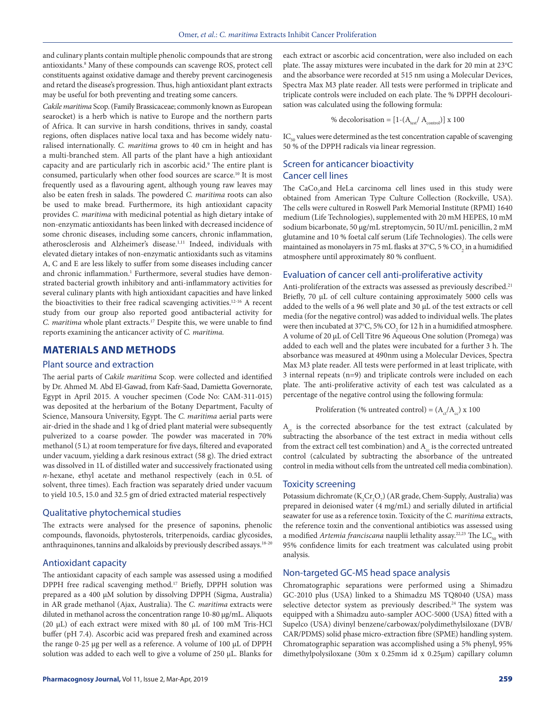and culinary plants contain multiple phenolic compounds that are strong antioxidants.8 Many of these compounds can scavenge ROS, protect cell constituents against oxidative damage and thereby prevent carcinogenesis and retard the disease's progression. Thus, high antioxidant plant extracts may be useful for both preventing and treating some cancers.

*Cakile maritima* Scop. (Family Brassicaceae; commonly known as European searocket) is a herb which is native to Europe and the northern parts of Africa. It can survive in harsh conditions, thrives in sandy, coastal regions, often displaces native local taxa and has become widely naturalised internationally. *C. maritima* grows to 40 cm in height and has a multi-branched stem. All parts of the plant have a high antioxidant capacity and are particularly rich in ascorbic acid.<sup>9</sup> The entire plant is consumed, particularly when other food sources are scarce.10 It is most frequently used as a flavouring agent, although young raw leaves may also be eaten fresh in salads. The powdered *C. maritima* roots can also be used to make bread. Furthermore, its high antioxidant capacity provides *C. maritima* with medicinal potential as high dietary intake of non-enzymatic antioxidants has been linked with decreased incidence of some chronic diseases, including some cancers, chronic inflammation, atherosclerosis and Alzheimer's disease.1,11 Indeed, individuals with elevated dietary intakes of non-enzymatic antioxidants such as vitamins A, C and E are less likely to suffer from some diseases including cancer and chronic inflammation.<sup>1</sup> Furthermore, several studies have demonstrated bacterial growth inhibitory and anti-inflammatory activities for several culinary plants with high antioxidant capacities and have linked the bioactivities to their free radical scavenging activities.<sup>12-16</sup> A recent study from our group also reported good antibacterial activity for *C. maritima* whole plant extracts.17 Despite this, we were unable to find reports examining the anticancer activity of *C. maritima.*

#### **MATERIALS AND METHODS**

#### Plant source and extraction

The aerial parts of *Cakile maritima* Scop*.* were collected and identified by Dr. Ahmed M. Abd El-Gawad, from Kafr-Saad, Damietta Governorate, Egypt in April 2015. A voucher specimen (Code No: CAM-311-015) was deposited at the herbarium of the Botany Department, Faculty of Science, Mansoura University, Egypt. The *C. maritima* aerial parts were air-dried in the shade and 1 kg of dried plant material were subsequently pulverized to a coarse powder. The powder was macerated in 70% methanol (5 L) at room temperature for five days, filtered and evaporated under vacuum, yielding a dark resinous extract (58 g). The dried extract was dissolved in 1L of distilled water and successively fractionated using *n*-hexane, ethyl acetate and methanol respectively (each in 0.5L of solvent, three times). Each fraction was separately dried under vacuum to yield 10.5, 15.0 and 32.5 gm of dried extracted material respectively

#### Qualitative phytochemical studies

The extracts were analysed for the presence of saponins, phenolic compounds, flavonoids, phytosterols, triterpenoids, cardiac glycosides, anthraquinones, tannins and alkaloids by previously described assays.18-20

### Antioxidant capacity

The antioxidant capacity of each sample was assessed using a modified DPPH free radical scavenging method.17 Briefly, DPPH solution was prepared as a 400 µM solution by dissolving DPPH (Sigma, Australia) in AR grade methanol (Ajax, Australia). The *C. maritima* extracts were diluted in methanol across the concentration range 10-80 µg/mL. Aliquots (20 µL) of each extract were mixed with 80 µL of 100 mM Tris-HCl buffer (pH 7.4). Ascorbic acid was prepared fresh and examined across the range 0-25 µg per well as a reference. A volume of 100 µL of DPPH solution was added to each well to give a volume of 250 µL. Blanks for each extract or ascorbic acid concentration, were also included on each plate. The assay mixtures were incubated in the dark for 20 min at  $23^{\circ}$ C and the absorbance were recorded at 515 nm using a Molecular Devices, Spectra Max M3 plate reader. All tests were performed in triplicate and triplicate controls were included on each plate. The % DPPH decolourisation was calculated using the following formula:

% decolorisation = 
$$
[1-(A_{\text{test}}/ A_{\text{control}})] \times 100
$$

 $IC_{50}$  values were determined as the test concentration capable of scavenging 50 % of the DPPH radicals via linear regression.

# Screen for anticancer bioactivity Cancer cell lines

The  $CaCo<sub>2</sub>$  and HeLa carcinoma cell lines used in this study were obtained from American Type Culture Collection (Rockville, USA). The cells were cultured in Roswell Park Memorial Institute (RPMI) 1640 medium (Life Technologies), supplemented with 20 mM HEPES, 10 mM sodium bicarbonate, 50 µg/mL streptomycin, 50 IU/mL penicillin, 2 mM glutamine and 10 % foetal calf serum (Life Technologies). The cells were maintained as monolayers in 75 mL flasks at 37°C, 5 %  $\mathrm{CO}_2$  in a humidified atmosphere until approximately 80 % confluent.

#### Evaluation of cancer cell anti-proliferative activity

Anti-proliferation of the extracts was assessed as previously described.<sup>21</sup> Briefly, 70 µL of cell culture containing approximately 5000 cells was added to the wells of a 96 well plate and 30 µL of the test extracts or cell media (for the negative control) was added to individual wells. The plates were then incubated at 37°C, 5% CO $_{\rm 2}$  for 12 h in a humidified atmosphere. A volume of 20 µL of Cell Titre 96 Aqueous One solution (Promega) was added to each well and the plates were incubated for a further 3 h. The absorbance was measured at 490nm using a Molecular Devices, Spectra Max M3 plate reader. All tests were performed in at least triplicate, with 3 internal repeats (n=9) and triplicate controls were included on each plate. The anti-proliferative activity of each test was calculated as a percentage of the negative control using the following formula:

Proliferation (% untreated control) =  $(A_c/A_c)$  x 100

 $A<sub>ct</sub>$  is the corrected absorbance for the test extract (calculated by subtracting the absorbance of the test extract in media without cells from the extract cell test combination) and  $A_c$  is the corrected untreated control (calculated by subtracting the absorbance of the untreated control in media without cells from the untreated cell media combination).

#### Toxicity screening

Potassium dichromate ( $K_2$ Cr<sub>2</sub>O<sub>7</sub>) (AR grade, Chem-Supply, Australia) was prepared in deionised water (4 mg/mL) and serially diluted in artificial seawater for use as a reference toxin. Toxicity of the *C. maritima* extracts, the reference toxin and the conventional antibiotics was assessed using a modified Artemia franciscana nauplii lethality assay.<sup>22,23</sup> The LC<sub>50</sub> with 95% confidence limits for each treatment was calculated using probit analysis.

# Non-targeted GC-MS head space analysis

Chromatographic separations were performed using a Shimadzu GC-2010 plus (USA) linked to a Shimadzu MS TQ8040 (USA) mass selective detector system as previously described.<sup>24</sup> The system was equipped with a Shimadzu auto-sampler AOC-5000 (USA) fitted with a Supelco (USA) divinyl benzene/carbowax/polydimethylsiloxane (DVB/ CAR/PDMS) solid phase micro-extraction fibre (SPME) handling system. Chromatographic separation was accomplished using a 5% phenyl, 95% dimethylpolysiloxane (30m x 0.25mm id x 0.25µm) capillary column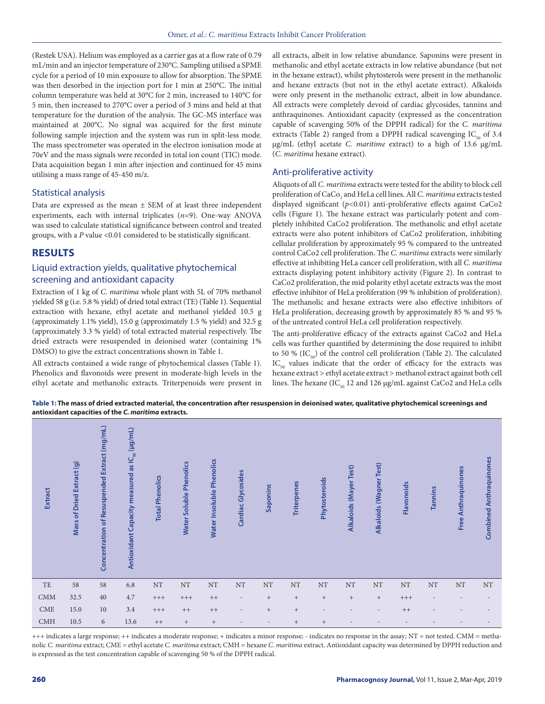(Restek USA). Helium was employed as a carrier gas at a flow rate of 0.79 mL/min and an injector temperature of 230°C. Sampling utilised a SPME cycle for a period of 10 min exposure to allow for absorption. The SPME was then desorbed in the injection port for 1 min at 250°C. The initial column temperature was held at 30°C for 2 min, increased to 140°C for 5 min, then increased to 270°C over a period of 3 mins and held at that temperature for the duration of the analysis. The GC-MS interface was maintained at 200°C. No signal was acquired for the first minute following sample injection and the system was run in split-less mode. The mass spectrometer was operated in the electron ionisation mode at 70eV and the mass signals were recorded in total ion count (TIC) mode. Data acquisition began 1 min after injection and continued for 45 mins utilising a mass range of 45-450 m/z.

### Statistical analysis

Data are expressed as the mean  $\pm$  SEM of at least three independent experiments, each with internal triplicates (*n*=9). One-way ANOVA was used to calculate statistical significance between control and treated groups, with a *P* value <0.01 considered to be statistically significant.

# **RESULTS**

# Liquid extraction yields, qualitative phytochemical screening and antioxidant capacity

Extraction of 1 kg of *C. maritima* whole plant with 5L of 70% methanol yielded 58 g (i.e. 5.8 % yield) of dried total extract (TE) (Table 1). Sequential extraction with hexane, ethyl acetate and methanol yielded 10.5 g (approximately 1.1% yield), 15.0 g (approximately 1.5 % yield) and 32.5 g (approximately 3.3 % yield) of total extracted material respectively. The dried extracts were resuspended in deionised water (containing 1% DMSO) to give the extract concentrations shown in Table 1.

All extracts contained a wide range of phytochemical classes (Table 1). Phenolics and flavonoids were present in moderate-high levels in the ethyl acetate and methanolic extracts. Triterpenoids were present in all extracts, albeit in low relative abundance. Saponins were present in methanolic and ethyl acetate extracts in low relative abundance (but not in the hexane extract), whilst phytosterols were present in the methanolic and hexane extracts (but not in the ethyl acetate extract). Alkaloids were only present in the methanolic extract, albeit in low abundance. All extracts were completely devoid of cardiac glycosides, tannins and anthraquinones. Antioxidant capacity (expressed as the concentration capable of scavenging 50% of the DPPH radical) for the *C. maritima* extracts (Table 2) ranged from a DPPH radical scavenging  $IC_{50}$  of 3.4 µg/mL (ethyl acetate *C. maritime* extract) to a high of 13.6 µg/mL (*C. maritima* hexane extract).

#### Anti-proliferative activity

Aliquots of all *C. maritima* extracts were tested for the ability to block cell proliferation of CaCo<sub>2</sub> and HeLa cell lines. All *C. maritima* extracts tested displayed significant (*p<*0.01) anti-proliferative effects against CaCo2 cells (Figure 1). The hexane extract was particularly potent and completely inhibited CaCo2 proliferation. The methanolic and ethyl acetate extracts were also potent inhibitors of CaCo2 proliferation, inhibiting cellular proliferation by approximately 95 % compared to the untreated control CaCo2 cell proliferation. The *C. maritima* extracts were similarly effective at inhibiting HeLa cancer cell proliferation, with all *C. maritima* extracts displaying potent inhibitory activity (Figure 2). In contrast to CaCo2 proliferation, the mid polarity ethyl acetate extracts was the most effective inhibitor of HeLa proliferation (99 % inhibition of proliferation). The methanolic and hexane extracts were also effective inhibitors of HeLa proliferation, decreasing growth by approximately 85 % and 95 % of the untreated control HeLa cell proliferation respectively.

The anti-proliferative efficacy of the extracts against CaCo2 and HeLa cells was further quantified by determining the dose required to inhibit to 50 % (IC $_{50}$ ) of the control cell proliferation (Table 2). The calculated  $IC_{50}$  values indicate that the order of efficacy for the extracts was hexane extract > ethyl acetate extract > methanol extract against both cell lines. The hexane (IC<sub>50</sub> 12 and 126 µg/mL against CaCo2 and HeLa cells

**Table 1: The mass of dried extracted material, the concentration after resuspension in deionised water, qualitative phytochemical screenings and antioxidant capacities of the** *C. maritima* **extracts.**

| Extract | Mass of Dried Extract (g) | Concentration of Resuspended Extract (mg/mL) | Antioxidant Capacity measured as IC <sub>50</sub> (µg/mL) | <b>Total Phenolics</b> | Water Soluble Phenolics | Water Insoluble Phenolics | Cardiac Glycosides       | Saponins                         | <b>Triterpenes</b>               | Phytosteroids   | Alkaloids (Mayer Test) | (Wagner Test)<br><b>Alkaloids</b> | Flavonoids | Tannins                  | <b>Free Anthraquinones</b> | <b>Combined Anthraquinones</b> |
|---------|---------------------------|----------------------------------------------|-----------------------------------------------------------|------------------------|-------------------------|---------------------------|--------------------------|----------------------------------|----------------------------------|-----------------|------------------------|-----------------------------------|------------|--------------------------|----------------------------|--------------------------------|
| TE      | 58                        | 58                                           | 6.8                                                       | $\rm{NT}$              | $\rm{NT}$               | $\rm{NT}$                 | $\rm{NT}$                | $\rm{NT}$                        | $\rm{NT}$                        | $\rm{NT}$       | $\rm{NT}$              | $\rm{NT}$                         | $\rm{NT}$  | $\rm{NT}$                | $\rm{NT}$                  | $\rm{NT}$                      |
| CMM     | 32.5                      | 40                                           | 4.7                                                       | $^{+++}$               | $^{+++}$                | $++$                      | $\overline{\phantom{a}}$ | $\begin{array}{c} + \end{array}$ | $^{+}$                           | $^+$            | $+$                    | $^{+}$                            | $^{+++}$   | $\overline{\phantom{a}}$ |                            |                                |
| CME     | 15.0                      | 10                                           | 3.4                                                       | $^{+++}$               | $++$                    | $++$                      | $\overline{\phantom{a}}$ | $\qquad \qquad +$                | $\begin{array}{c} + \end{array}$ | $\qquad \qquad$ | $\overline{a}$         | $\overline{\phantom{a}}$          | $++$       |                          |                            |                                |
|         |                           |                                              |                                                           |                        |                         |                           |                          |                                  |                                  |                 |                        |                                   |            |                          |                            |                                |

+++ indicates a large response; ++ indicates a moderate response; + indicates a minor response; - indicates no response in the assay; NT = not tested. CMM = methanolic *C. maritima* extract; CME = ethyl acetate *C. maritima* extract; CMH = hexane *C. maritima* extract. Antioxidant capacity was determined by DPPH reduction and is expressed as the test concentration capable of scavenging 50 % of the DPPH radical.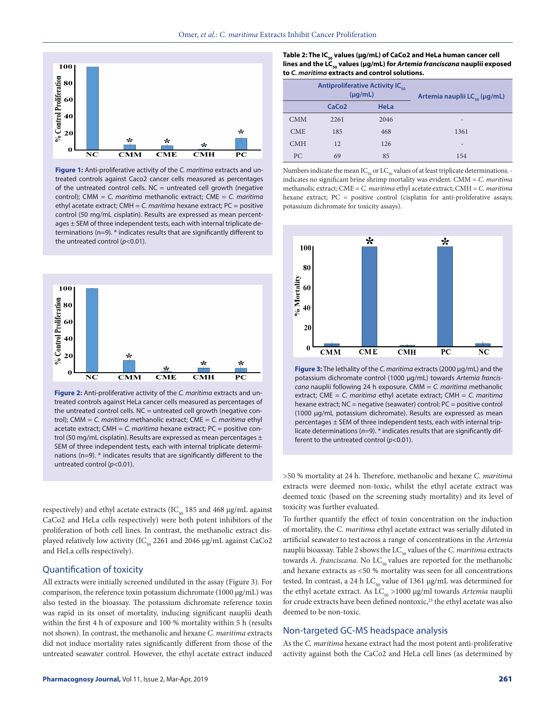

**Figure 1:** Anti-proliferative activity of the *C. maritima* extracts and untreated controls against Caco2 cancer cells measured as percentages of the untreated control cells.  $NC =$  untreated cell growth (negative control); CMM = *C. maritima* methanolic extract; CME = *C. maritima* ethyl acetate extract; CMH = *C. maritima* hexane extract; PC = positive control (50 mg/mL cisplatin). Results are expressed as mean percentages ± SEM of three independent tests, each with internal triplicate determinations (n=9). \* indicates results that are significantly different to the untreated control (*p<*0.01).



**Figure 2:** Anti-proliferative activity of the *C. maritima* extracts and untreated controls against HeLa cancer cells measured as percentages of the untreated control cells.  $NC =$  untreated cell growth (negative control); CMM = *C. maritima* methanolic extract; CME = *C. maritima* ethyl acetate extract; CMH = *C. maritima* hexane extract; PC = positive control (50 mg/mL cisplatin). Results are expressed as mean percentages  $\pm$ SEM of three independent tests, each with internal triplicate determinations (n=9). \* indicates results that are significantly different to the untreated control (*p<*0.01).

respectively) and ethyl acetate extracts (IC $_{50}$  185 and 468 µg/mL against CaCo2 and HeLa cells respectively) were both potent inhibitors of the proliferation of both cell lines. In contrast, the methanolic extract displayed relatively low activity (IC<sub>50</sub> 2261 and 2046  $\mu$ g/mL against CaCo2 and HeLa cells respectively).

## Quantification of toxicity

All extracts were initially screened undiluted in the assay (Figure 3). For comparison, the reference toxin potassium dichromate (1000  $\mu$ g/mL) was also tested in the bioassay. The potassium dichromate reference toxin was rapid in its onset of mortality, inducing significant nauplii death within the first 4 h of exposure and 100 % mortality within 5 h (results not shown). In contrast, the methanolic and hexane *C. maritima* extracts did not induce mortality rates significantly different from those of the untreated seawater control. However, the ethyl acetate extract induced

#### Table 2: The IC<sub>50</sub> values (µg/mL) of CaCo2 and HeLa human cancer cell lines and the LC<sub>50</sub> values (µg/mL) for *Artemia franciscana* nauplii exposed **to** *C. maritima* **extracts and control solutions.**

|            |                   | <b>Antiproliferative Activity IC.</b><br>$(\mu q/mL)$ | Artemia nauplii LC <sub>ερ</sub> (μg/mL) |
|------------|-------------------|-------------------------------------------------------|------------------------------------------|
|            | CaCo <sub>2</sub> | <b>HeLa</b>                                           |                                          |
| <b>CMM</b> | 2261              | 2046                                                  | $\qquad \qquad$                          |
| <b>CME</b> | 185               | 468                                                   | 1361                                     |
| <b>CMH</b> | 12                | 126                                                   | -                                        |
| PC         | 69                | 85                                                    | 154                                      |

Numbers indicate the mean  $IC_{50}$  or  $LC_{50}$  values of at least triplicate determinations. indicates no significant brine shrimp mortality was evident. CMM = *C. maritima* methanolic extract; CME = *C. maritima* ethyl acetate extract; CMH = *C. maritima* hexane extract; PC = positive control (cisplatin for anti-proliferative assays; potassium dichromate for toxicity assays).



**Figure 3:** The lethality of the *C. maritima* extracts (2000 µg/mL) and the potassium dichromate control (1000 µg/mL) towards *Artemia franciscana* nauplii following 24 h exposure. CMM = *C. maritima* methanolic extract; CME = *C. maritima* ethyl acetate extract; CMH = *C. maritima* hexane extract; NC = negative (seawater) control; PC = positive control (1000 µg/mL potassium dichromate). Results are expressed as mean percentages ± SEM of three independent tests, each with internal triplicate determinations (*n*=9). \* indicates results that are significantly different to the untreated control (*p<*0.01).

>50 % mortality at 24 h. Therefore, methanolic and hexane *C. maritima* extracts were deemed non-toxic, whilst the ethyl acetate extract was deemed toxic (based on the screening study mortality) and its level of toxicity was further evaluated.

To further quantify the effect of toxin concentration on the induction of mortality, the *C. maritima* ethyl acetate extract was serially diluted in artificial seawaterto test across a range of concentrations in the *Artemia* nauplii bioassay. Table 2 shows the LC<sub>50</sub> values of the *C. maritima* extracts towards *A. franciscana*. No LC<sub>50</sub> values are reported for the methanolic and hexane extracts as <50 % mortality was seen for all concentrations tested. In contrast, a 24 h  $LC_{50}$  value of 1361 µg/mL was determined for the ethyl acetate extract. As LC<sub>50</sub> >1000 μg/ml towards *Artemia* nauplii for crude extracts have been defined nontoxic,<sup>25</sup> the ethyl acetate was also deemed to be non-toxic.

### Non-targeted GC-MS headspace analysis

As the *C. maritima* hexane extract had the most potent anti-proliferative activity against both the CaCo2 and HeLa cell lines (as determined by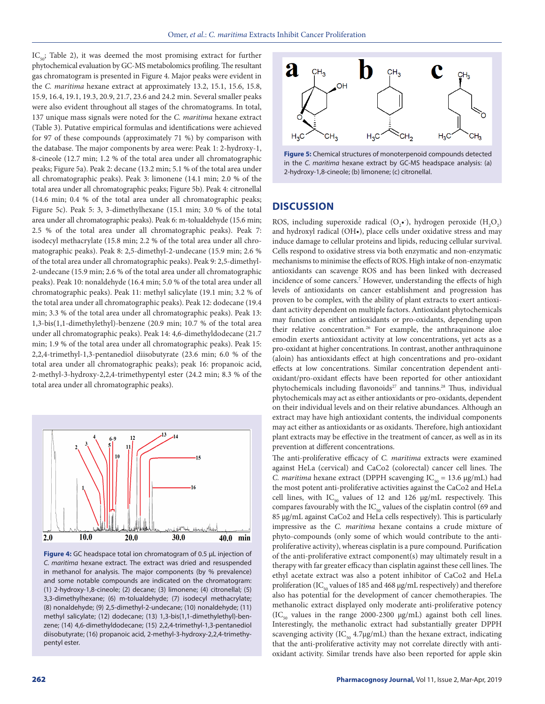$IC_{\text{co}}$ ; Table 2), it was deemed the most promising extract for further phytochemical evaluation by GC-MS metabolomics profiling. The resultant gas chromatogram is presented in Figure 4. Major peaks were evident in the *C. maritima* hexane extract at approximately 13.2, 15.1, 15.6, 15.8, 15.9, 16.4, 19.1, 19.3, 20.9, 21.7, 23.6 and 24.2 min. Several smaller peaks were also evident throughout all stages of the chromatograms. In total, 137 unique mass signals were noted for the *C. maritima* hexane extract (Table 3). Putative empirical formulas and identifications were achieved for 97 of these compounds (approximately 71 %) by comparison with the database. The major components by area were: Peak 1: 2-hydroxy-1, 8-cineole (12.7 min; 1.2 % of the total area under all chromatographic peaks; Figure 5a). Peak 2: decane (13.2 min; 5.1 % of the total area under all chromatographic peaks). Peak 3: limonene (14.1 min; 2.0 % of the total area under all chromatographic peaks; Figure 5b). Peak 4: citronellal (14.6 min; 0.4 % of the total area under all chromatographic peaks; Figure 5c). Peak 5: 3, 3-dimethylhexane (15.1 min; 3.0 % of the total area under all chromatographic peaks). Peak 6: m-tolualdehyde (15.6 min; 2.5 % of the total area under all chromatographic peaks). Peak 7: isodecyl methacrylate (15.8 min; 2.2 % of the total area under all chromatographic peaks). Peak 8: 2,5-dimethyl-2-undecane (15.9 min; 2.6 % of the total area under all chromatographic peaks). Peak 9: 2,5-dimethyl-2-undecane (15.9 min; 2.6 % of the total area under all chromatographic peaks). Peak 10: nonaldehyde (16.4 min; 5.0 % of the total area under all chromatographic peaks). Peak 11: methyl salicylate (19.1 min; 3.2 % of the total area under all chromatographic peaks). Peak 12: dodecane (19.4 min; 3.3 % of the total area under all chromatographic peaks). Peak 13: 1,3-bis(1,1-dimethylethyl)-benzene (20.9 min; 10.7 % of the total area under all chromatographic peaks). Peak 14: 4,6-dimethyldodecane (21.7 min; 1.9 % of the total area under all chromatographic peaks). Peak 15: 2,2,4-trimethyl-1,3-pentanediol diisobutyrate (23.6 min; 6.0 % of the total area under all chromatographic peaks); peak 16: propanoic acid, 2-methyl-3-hydroxy-2,2,4-trimethypentyl ester (24.2 min; 8.3 % of the total area under all chromatographic peaks).



**Figure 4:** GC headspace total ion chromatogram of 0.5 µL injection of *C. maritima* hexane extract. The extract was dried and resuspended in methanol for analysis. The major components (by % prevalence) and some notable compounds are indicated on the chromatogram: (1) 2-hydroxy-1,8-cineole; (2) decane; (3) limonene; (4) citronellal; (5) 3,3-dimethylhexane; (6) m-tolualdehyde; (7) isodecyl methacrylate; (8) nonaldehyde; (9) 2,5-dimethyl-2-undecane; (10) nonaldehyde; (11) methyl salicylate; (12) dodecane; (13) 1,3-bis(1,1-dimethylethyl)-benzene; (14) 4,6-dimethyldodecane; (15) 2,2,4-trimethyl-1,3-pentanediol diisobutyrate; (16) propanoic acid, 2-methyl-3-hydroxy-2,2,4-trimethypentyl ester.





# **DISCUSSION**

ROS, including superoxide radical  $(O_2 \cdot)$ , hydrogen peroxide  $(H_2 O_2)$ and hydroxyl radical (OH•), place cells under oxidative stress and may induce damage to cellular proteins and lipids, reducing cellular survival. Cells respond to oxidative stress via both enzymatic and non-enzymatic mechanisms to minimise the effects of ROS. High intake of non-enzymatic antioxidants can scavenge ROS and has been linked with decreased incidence of some cancers.7 However, understanding the effects of high levels of antioxidants on cancer establishment and progression has proven to be complex, with the ability of plant extracts to exert antioxidant activity dependent on multiple factors. Antioxidant phytochemicals may function as either antioxidants or pro-oxidants, depending upon their relative concentration.<sup>26</sup> For example, the anthraquinone aloe emodin exerts antioxidant activity at low concentrations, yet acts as a pro-oxidant at higher concentrations. In contrast, another anthraquinone (aloin) has antioxidants effect at high concentrations and pro-oxidant effects at low concentrations. Similar concentration dependent antioxidant/pro-oxidant effects have been reported for other antioxidant phytochemicals including flavonoids<sup>27</sup> and tannins.<sup>28</sup> Thus, individual phytochemicals may act as either antioxidants or pro-oxidants, dependent on their individual levels and on their relative abundances. Although an extract may have high antioxidant contents, the individual components may act either as antioxidants or as oxidants. Therefore, high antioxidant plant extracts may be effective in the treatment of cancer, as well as in its prevention at different concentrations.

The anti-proliferative efficacy of *C. maritima* extracts were examined against HeLa (cervical) and CaCo2 (colorectal) cancer cell lines. The *C. maritima* hexane extract (DPPH scavenging  $IC_{50} = 13.6 \text{ µg/mL}$ ) had the most potent anti-proliferative activities against the CaCo2 and HeLa cell lines, with  $IC_{50}$  values of 12 and 126  $\mu$ g/mL respectively. This compares favourably with the  $\mathrm{IC}_{_{50}}$  values of the cisplatin control (69 and 85 µg/mL against CaCo2 and HeLa cells respectively). This is particularly impressive as the *C. maritima* hexane contains a crude mixture of phyto-compounds (only some of which would contribute to the antiproliferative activity), whereas cisplatin is a pure compound. Purification of the anti-proliferative extract component(s) may ultimately result in a therapy with far greater efficacy than cisplatin against these cell lines. The ethyl acetate extract was also a potent inhibitor of CaCo2 and HeLa proliferation (IC<sub>50</sub> values of 185 and 468 µg/mL respectively) and therefore also has potential for the development of cancer chemotherapies. The methanolic extract displayed only moderate anti-proliferative potency  $(IC_{50}$  values in the range 2000-2300  $\mu$ g/mL) against both cell lines. Interestingly, the methanolic extract had substantially greater DPPH scavenging activity ( $IC_{50}$  4.7µg/mL) than the hexane extract, indicating that the anti-proliferative activity may not correlate directly with antioxidant activity. Similar trends have also been reported for apple skin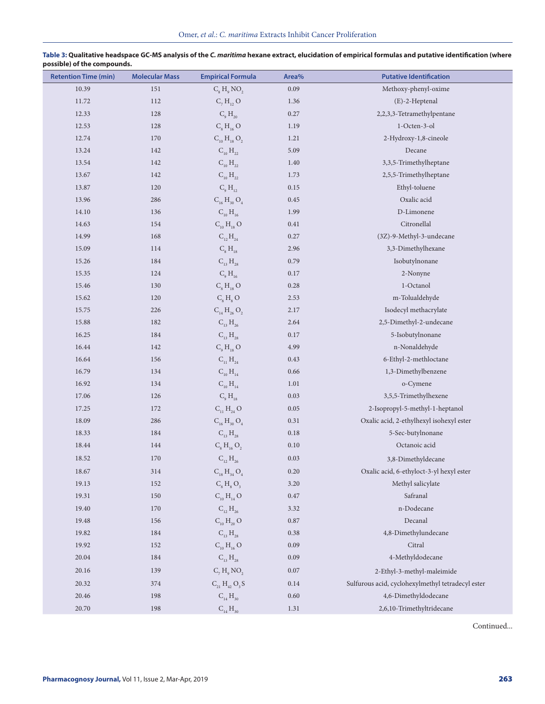| <b>Retention Time (min)</b> | <b>Molecular Mass</b> | <b>Empirical Formula</b>                   | Area%    | <b>Putative Identification</b>                    |
|-----------------------------|-----------------------|--------------------------------------------|----------|---------------------------------------------------|
| 10.39                       | 151                   | $C_{\rm s}$ H <sub>o</sub> NO <sub>2</sub> | 0.09     | Methoxy-phenyl-oxime                              |
| 11.72                       | 112                   | $C_7 H_{12} O$                             | 1.36     | (E)-2-Heptenal                                    |
| 12.33                       | 128                   | $C_{9}H_{20}$                              | 0.27     | 2,2,3,3-Tetramethylpentane                        |
| 12.53                       | 128                   | $C_8 H_{16} O$                             | 1.19     | 1-Octen-3-ol                                      |
| 12.74                       | 170                   | $C_{10} H_{18} O_2$                        | 1.21     | 2-Hydroxy-1,8-cineole                             |
| 13.24                       | 142                   | $C_{10}H_{22}$                             | 5.09     | Decane                                            |
| 13.54                       | 142                   | $C_{10}H_{22}$                             | 1.40     | 3,3,5-Trimethylheptane                            |
| 13.67                       | 142                   | $C_{10}H_{22}$                             | 1.73     | 2,5,5-Trimethylheptane                            |
| 13.87                       | 120                   | $C_{9}H_{12}$                              | 0.15     | Ethyl-toluene                                     |
| 13.96                       | 286                   | $C_{16} H_{30} O_4$                        | 0.45     | Oxalic acid                                       |
| 14.10                       | 136                   | $C_{10} H_{16}$                            | 1.99     | D-Limonene                                        |
| 14.63                       | 154                   | $C_{10}H_{18}O$                            | 0.41     | Citronellal                                       |
| 14.99                       | 168                   | $C_{12}H_{24}$                             | 0.27     | (3Z)-9-Methyl-3-undecane                          |
| 15.09                       | 114                   | $C_{8}H_{18}$                              | 2.96     | 3,3-Dimethylhexane                                |
| 15.26                       | 184                   | $C_{13} H_{28}$                            | 0.79     | Isobutylnonane                                    |
| 15.35                       | 124                   | $C_{9}H_{16}$                              | 0.17     | 2-Nonyne                                          |
| 15.46                       | 130                   | $C_8H_{18}O$                               | 0.28     | 1-Octanol                                         |
| 15.62                       | 120                   | $C_{s}H_{s}O$                              | 2.53     | m-Tolualdehyde                                    |
| 15.75                       | 226                   | $C_{14} H_{26} O_2$                        | 2.17     | Isodecyl methacrylate                             |
| 15.88                       | 182                   | $C_{13} H_{26}$                            | 2.64     | 2,5-Dimethyl-2-undecane                           |
| 16.25                       | 184                   | $C_{13} H_{28}$                            | 0.17     | 5-Isobutylnonane                                  |
| 16.44                       | 142                   | C <sub>9</sub> H <sub>18</sub> O           | 4.99     | n-Nonaldehyde                                     |
| 16.64                       | 156                   | $C_{11} H_{24}$                            | 0.43     | 6-Ethyl-2-methloctane                             |
| 16.79                       | 134                   | $C_{10} H_{14}$                            | 0.66     | 1,3-Dimethylbenzene                               |
| 16.92                       | 134                   | $C_{10} H_{14}$                            | 1.01     | o-Cymene                                          |
| 17.06                       | 126                   | $C_{9}H_{18}$                              | 0.03     | 3,5,5-Trimethylhexene                             |
| 17.25                       | 172                   | $C_{11}H_{24}O$                            | 0.05     | 2-Isopropyl-5-methyl-1-heptanol                   |
| 18.09                       | 286                   | $C_{16} H_{30} O_4$                        | 0.31     | Oxalic acid, 2-ethylhexyl isohexyl ester          |
| 18.33                       | 184                   | $C_{13}H_{28}$                             | 0.18     | 5-Sec-butylnonane                                 |
| 18.44                       | 144                   | $C_8 H_{16} O_2$                           | $0.10\,$ | Octanoic acid                                     |
| 18.52                       | 170                   | $C_{12} H_{26}$                            | 0.03     | 3,8-Dimethyldecane                                |
| 18.67                       | 314                   | $C_{18} H_{34} O_4$                        | 0.20     | Oxalic acid, 6-ethyloct-3-yl hexyl ester          |
| 19.13                       | 152                   | $C_8$ H <sub>8</sub> O <sub>3</sub>        | 3.20     | Methyl salicylate                                 |
| 19.31                       | 150                   | $C_{10} H_{14} O$                          | 0.47     | Safranal                                          |
| 19.40                       | 170                   | $C_{12} H_{26}$                            | 3.32     | n-Dodecane                                        |
| 19.48                       | 156                   | $C_{10} H_{20} O$                          | 0.87     | Decanal                                           |
| 19.82                       | 184                   | $C_{13}H_{28}$                             | 0.38     | 4,8-Dimethylundecane                              |
| 19.92                       | 152                   | $C_{10}H_{16}O$                            | 0.09     | Citral                                            |
| 20.04                       | 184                   | $C_{13} H_{28}$                            | 0.09     | 4-Methyldodecane                                  |
| 20.16                       | 139                   | $C_7 H$ , NO <sub>2</sub>                  | 0.07     | 2-Ethyl-3-methyl-maleimide                        |
| 20.32                       | 374                   | $C_{21} H_{42} O_3 S$                      | 0.14     | Sulfurous acid, cyclohexylmethyl tetradecyl ester |
| 20.46                       | 198                   | $C_{14} H_{30}$                            | 0.60     | 4,6-Dimethyldodecane                              |
| 20.70                       | 198                   | $C_{14} H_{30}$                            | 1.31     | 2,6,10-Trimethyltridecane                         |

**Table 3: Qualitative headspace GC-MS analysis of the** *C. maritima* **hexane extract, elucidation of empirical formulas and putative identification (where possible) of the compounds.**

Continued...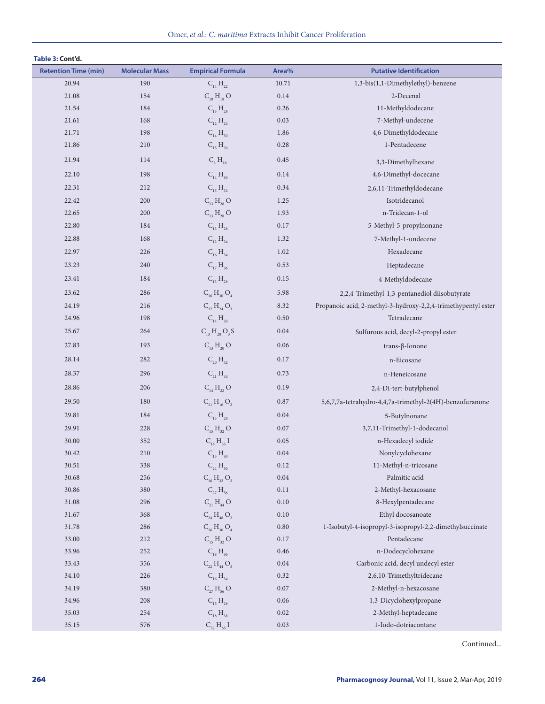|  | Table 3: Cont'd. |  |
|--|------------------|--|
|--|------------------|--|

| <b>Retention Time (min)</b> | <b>Molecular Mass</b> | <b>Empirical Formula</b> | Area%    | <b>Putative Identification</b>                                |
|-----------------------------|-----------------------|--------------------------|----------|---------------------------------------------------------------|
| 20.94                       | 190                   | $C_{14} H_{22}$          | 10.71    | 1,3-bis(1,1-Dimethylethyl)-benzene                            |
| 21.08                       | 154                   | $C_{10} H_{18} O$        | 0.14     | 2-Decenal                                                     |
| 21.54                       | 184                   | $C_{13}H_{28}$           | 0.26     | 11-Methyldodecane                                             |
| 21.61                       | 168                   | $C_{12} H_{24}$          | 0.03     | 7-Methyl-undecene                                             |
| 21.71                       | 198                   | $C_{14} H_{30}$          | 1.86     | 4,6-Dimethyldodecane                                          |
| 21.86                       | 210                   | $C_{15} H_{30}$          | 0.28     | 1-Pentadecene                                                 |
| 21.94                       | 114                   | $C_{8}H_{18}$            | 0.45     | 3,3-Dimethylhexane                                            |
| 22.10                       | 198                   | $C_{14} H_{30}$          | 0.14     | 4,6-Dimethyl-docecane                                         |
| 22.31                       | 212                   | $C_{15} H_{32}$          | 0.34     | 2,6,11-Trimethyldodecane                                      |
| 22.42                       | 200                   | $C_{13} H_{28} O$        | 1.25     | Isotridecanol                                                 |
| 22.65                       | 200                   | $C_{13} H_{28} O$        | 1.93     | n-Tridecan-1-ol                                               |
| 22.80                       | 184                   | $C_{13}H_{28}$           | 0.17     | 5-Methyl-5-propylnonane                                       |
| 22.88                       | 168                   | $C_{12} H_{24}$          | 1.32     | 7-Methyl-1-undecene                                           |
| 22.97                       | 226                   | $C_{16} H_{34}$          | 1.02     | Hexadecane                                                    |
| 23.23                       | 240                   | $C_{17} H_{36}$          | 0.53     | Heptadecane                                                   |
| 23.41                       | 184                   | $C_{13}H_{28}$           | 0.15     | 4-Methyldodecane                                              |
| 23.62                       | 286                   | $C_{16} H_{30} O_4$      | 5.98     | 2,2,4-Trimethyl-1,3-pentanediol diisobutyrate                 |
| 24.19                       | 216                   | $C_{12} H_{24} O_{3}$    | 8.32     | Propanoic acid, 2-methyl-3-hydroxy-2,2,4-trimethypentyl ester |
| 24.96                       | 198                   | $C_{14} H_{30}$          | 0.50     | Tetradecane                                                   |
| 25.67                       | 264                   | $C_{13} H_{28} O_3 S$    | 0.04     | Sulfurous acid, decyl-2-propyl ester                          |
| 27.83                       | 193                   | $C_{13} H_{20} O$        | 0.06     | trans- $\beta$ -Ionone                                        |
| 28.14                       | 282                   | $C_{20} H_{42}$          | 0.17     | n-Eicosane                                                    |
| 28.37                       | 296                   | $C_{21} H_{44}$          | 0.73     | n-Heneicosane                                                 |
| 28.86                       | 206                   | $C_{14} H_{22} O$        | 0.19     | 2,4-Di-tert-butylphenol                                       |
| 29.50                       | 180                   | $C_{11} H_{16} O_2$      | 0.87     | 5,6,7,7a-tetrahydro-4,4,7a-trimethyl-2(4H)-benzofuranone      |
| 29.81                       | 184                   | $C_{13} H_{28}$          | 0.04     | 5-Butylnonane                                                 |
| 29.91                       | 228                   | $C_{15}H_{32}O$          | 0.07     | 3,7,11-Trimethyl-1-dodecanol                                  |
| 30.00                       | 352                   | $C_{16}H_{33}$ I         | 0.05     | n-Hexadecyl iodide                                            |
| 30.42                       | 210                   | $C_{15} H_{30}$          | $0.04\,$ | Nonylcyclohexane                                              |
| 30.51                       | 338                   | $C_{24} H_{50}$          | 0.12     | 11-Methyl-n-tricosane                                         |
| 30.68                       | 256                   | $C_{16} H_{32} O_2$      | 0.04     | Palmitic acid                                                 |
| 30.86                       | 380                   | $C_{27} H_{56}$          | $0.11\,$ | 2-Methyl-hexacosane                                           |
| 31.08                       | 296                   | $C_{21} H_{44} O$        | $0.10\,$ | 8-Hexylpentadecane                                            |
| 31.67                       | 368                   | $C_{24} H_{48} O_2$      | 0.10     | Ethyl docosanoate                                             |
| 31.78                       | 286                   | $C_{16} H_{30} O_4$      | $0.80\,$ | 1-Isobutyl-4-isopropyl-3-isopropyl-2,2-dimethylsuccinate      |
| 33.00                       | 212                   | $C_{15}H_{32}O$          | 0.17     | Pentadecane                                                   |
| 33.96                       | 252                   | $C_{18}H_{36}$           | 0.46     | n-Dodecyclohexane                                             |
| 33.43                       | 356                   | $C_{22} H_{44} O_3$      | 0.04     | Carbonic acid, decyl undecyl ester                            |
| 34.10                       | 226                   | $C_{16} H_{34}$          | 0.32     | 2,6,10-Trimethyltridecane                                     |
| 34.19                       | 380                   | $C_{27} H_{56} O$        | 0.07     | 2-Methyl-n-hexacosane                                         |
| 34.96                       | 208                   | $C_{15}H_{28}$           | 0.06     | 1,3-Dicyclohexylpropane                                       |
| 35.03                       | 254                   | $C_{18} H_{38}$          | $0.02\,$ | 2-Methyl-heptadecane                                          |
| 35.15                       | 576                   | $C_{32} H_{65} I$        | 0.03     | 1-Iodo-dotriacontane                                          |

Continued...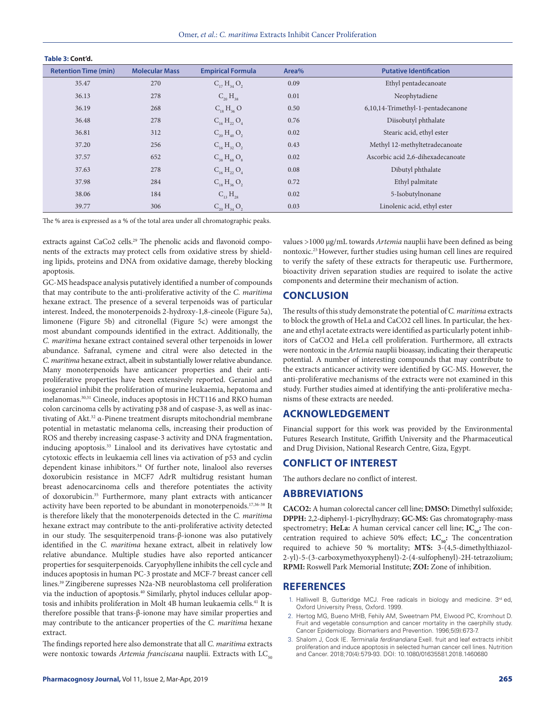| IMMIN YI NYIIN MI           |                       |                          |       |                                   |
|-----------------------------|-----------------------|--------------------------|-------|-----------------------------------|
| <b>Retention Time (min)</b> | <b>Molecular Mass</b> | <b>Empirical Formula</b> | Area% | <b>Putative Identification</b>    |
| 35.47                       | 270                   | $C_{17}H_{34}O_2$        | 0.09  | Ethyl pentadecanoate              |
| 36.13                       | 278                   | $C_{20}H_{38}$           | 0.01  | Neophytadiene                     |
| 36.19                       | 268                   | $C_{18} H_{36} O$        | 0.50  | 6,10,14-Trimethyl-1-pentadecanone |
| 36.48                       | 278                   | $C_{16} H_{22} O_4$      | 0.76  | Diisobutyl phthalate              |
| 36.81                       | 312                   | $C_{20} H_{40} O_2$      | 0.02  | Stearic acid, ethyl ester         |
| 37.20                       | 256                   | $C_{16}H_{32}O_2$        | 0.43  | Methyl 12-methyltetradecanoate    |
| 37.57                       | 652                   | $C_{38} H_{68} O_8$      | 0.02  | Ascorbic acid 2,6-dihexadecanoate |
| 37.63                       | 278                   | $C_{16} H_{22} O_4$      | 0.08  | Dibutyl phthalate                 |
| 37.98                       | 284                   | $C_{18} H_{36} O_2$      | 0.72  | Ethyl palmitate                   |
| 38.06                       | 184                   | $C_{13}H_{28}$           | 0.02  | 5-Isobutylnonane                  |
| 39.77                       | 306                   | $C_{20}H_{34}O_2$        | 0.03  | Linolenic acid, ethyl ester       |

The % area is expressed as a % of the total area under all chromatographic peaks.

**Table 3: Cont'd.**

extracts against CaCo2 cells.<sup>29</sup> The phenolic acids and flavonoid components of the extracts may protect cells from oxidative stress by shielding lipids, proteins and DNA from oxidative damage, thereby blocking apoptosis.

GC-MS headspace analysis putatively identified a number of compounds that may contribute to the anti-proliferative activity of the *C. maritima* hexane extract. The presence of a several terpenoids was of particular interest. Indeed, the monoterpenoids 2-hydroxy-1,8-cineole (Figure 5a), limonene (Figure 5b) and citronellal (Figure 5c) were amongst the most abundant compounds identified in the extract. Additionally, the *C. maritima* hexane extract contained several other terpenoids in lower abundance. Safranal, cymene and citral were also detected in the *C. maritima* hexane extract, albeit in substantially lower relative abundance. Many monoterpenoids have anticancer properties and their antiproliferative properties have been extensively reported. Geraniol and iosgeraniol inhibit the proliferation of murine leukaemia, hepatoma and melanomas.30,31 Cineole, induces apoptosis in HCT116 and RKO human colon carcinoma cells by activating p38 and of caspase-3, as well as inactivating of Akt.32 α-Pinene treatment disrupts mitochondrial membrane potential in metastatic melanoma cells, increasing their production of ROS and thereby increasing caspase-3 activity and DNA fragmentation, inducing apoptosis.33 Linalool and its derivatives have cytostatic and cytotoxic effects in leukaemia cell lines via activation of p53 and cyclin dependent kinase inhibitors.<sup>34</sup> Of further note, linalool also reverses doxorubicin resistance in MCF7 AdrR multidrug resistant human breast adenocarcinoma cells and therefore potentiates the activity of doxorubicin.35 Furthermore, many plant extracts with anticancer activity have been reported to be abundant in monoterpenoids.<sup>17,36-38</sup> It is therefore likely that the monoterpenoids detected in the *C. maritima* hexane extract may contribute to the anti-proliferative activity detected in our study. The sesquiterpenoid trans-β-ionone was also putatively identified in the *C. maritima* hexane extract, albeit in relatively low relative abundance. Multiple studies have also reported anticancer properties for sesquiterpenoids. Caryophyllene inhibits the cell cycle and induces apoptosis in human PC-3 prostate and MCF-7 breast cancer cell lines.39 Zingiberene supresses N2a-NB neuroblastoma cell proliferation via the induction of apoptosis.40 Similarly, phytol induces cellular apoptosis and inhibits proliferation in Molt 4B human leukaemia cells.<sup>41</sup> It is therefore possible that trans-β-ionone may have similar properties and may contribute to the anticancer properties of the *C. maritima* hexane extract.

The findings reported here also demonstrate that all *C. maritima* extracts were nontoxic towards *Artemia franciscana* nauplii. Extracts with LC<sub>50</sub>

values >1000 µg/mL towards *Artemia* nauplii have been defined as being nontoxic.25 However, further studies using human cell lines are required to verify the safety of these extracts for therapeutic use. Furthermore, bioactivity driven separation studies are required to isolate the active components and determine their mechanism of action.

# **CONCLUSION**

The results of this study demonstrate the potential of *C. maritima* extracts to block the growth of HeLa and CaCO2 cell lines. In particular, the hexane and ethyl acetate extracts were identified as particularly potent inhibitors of CaCO2 and HeLa cell proliferation. Furthermore, all extracts were nontoxic in the *Artemia* nauplii bioassay, indicating their therapeutic potential. A number of interesting compounds that may contribute to the extracts anticancer activity were identified by GC-MS. However, the anti-proliferative mechanisms of the extracts were not examined in this study. Further studies aimed at identifying the anti-proliferative mechanisms of these extracts are needed.

# **ACKNOWLEDGEMENT**

Financial support for this work was provided by the Environmental Futures Research Institute, Griffith University and the Pharmaceutical and Drug Division, National Research Centre, Giza, Egypt.

# **CONFLICT OF INTEREST**

The authors declare no conflict of interest.

### **ABBREVIATIONS**

**CACO2:** A human colorectal cancer cell line; **DMSO:** Dimethyl sulfoxide; **DPPH:** 2,2-diphenyl-1-picrylhydrazy; **GC-MS:** Gas chromatography-mass spectrometry; **HeLa:** A human cervical cancer cell line; **IC**<sub>50</sub>: The concentration required to achieve 50% effect;  $LC_{50}$ : The concentration required to achieve 50 % mortality; **MTS:** 3-(4,5-dimethylthiazol-2-yl)-5-(3-carboxymethyoxyphenyl)-2-(4-sulfophenyl)-2H-tetrazolium; **RPMI:** Roswell Park Memorial Institute; **ZOI:** Zone of inhibition.

# **REFERENCES**

- 1. Halliwell B, Gutteridge MCJ. Free radicals in biology and medicine. 3rd ed, Oxford University Press, Oxford. 1999.
- 2. Hertog MG, Bueno MHB, Fehily AM, Sweetnam PM, Elwood PC, Kromhout D. Fruit and vegetable consumption and cancer mortality in the caerphilly study. Cancer Epidemiology. Biomarkers and Prevention. 1996;5(9):673-7.
- 3. Shalom J, Cock IE. *Terminalia ferdinandiana* Exell. fruit and leaf extracts inhibit proliferation and induce apoptosis in selected human cancer cell lines. Nutrition and Cancer. 2018;70(4):579-93. DOI: 10.1080/01635581.2018.1460680